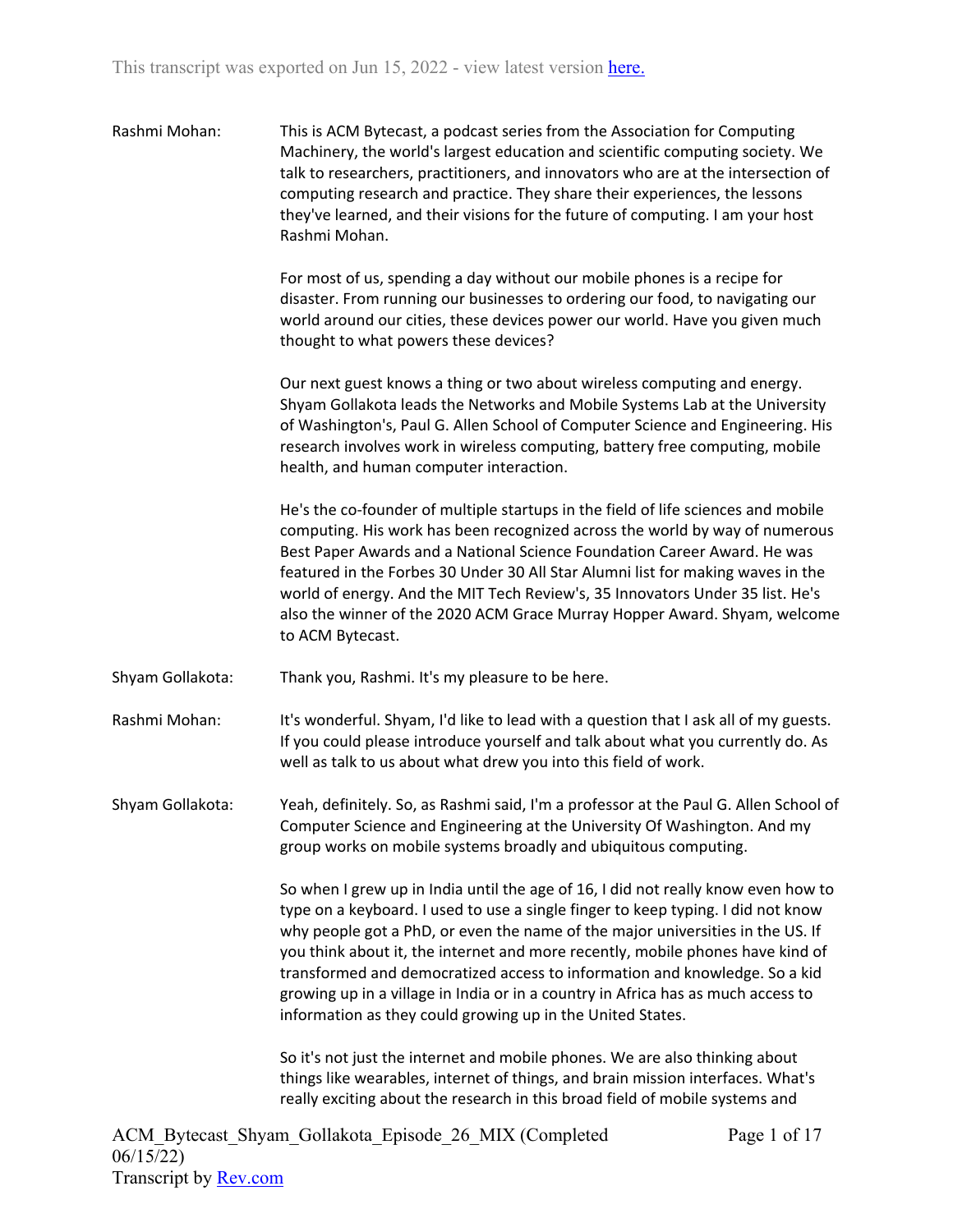| Rashmi Mohan: | This is ACM Bytecast, a podcast series from the Association for Computing         |
|---------------|-----------------------------------------------------------------------------------|
|               | Machinery, the world's largest education and scientific computing society. We     |
|               | talk to researchers, practitioners, and innovators who are at the intersection of |
|               | computing research and practice. They share their experiences, the lessons        |
|               | they've learned, and their visions for the future of computing. I am your host    |
|               | Rashmi Mohan.                                                                     |

For most of us, spending a day without our mobile phones is a recipe for disaster. From running our businesses to ordering our food, to navigating our world around our cities, these devices power our world. Have you given much thought to what powers these devices?

Our next guest knows a thing or two about wireless computing and energy. Shyam Gollakota leads the Networks and Mobile Systems Lab at the University of Washington's, Paul G. Allen School of Computer Science and Engineering. His research involves work in wireless computing, battery free computing, mobile health, and human computer interaction.

He's the co-founder of multiple startups in the field of life sciences and mobile computing. His work has been recognized across the world by way of numerous Best Paper Awards and a National Science Foundation Career Award. He was featured in the Forbes 30 Under 30 All Star Alumni list for making waves in the world of energy. And the MIT Tech Review's, 35 Innovators Under 35 list. He's also the winner of the 2020 ACM Grace Murray Hopper Award. Shyam, welcome to ACM Bytecast.

- Shyam Gollakota: Thank you, Rashmi. It's my pleasure to be here.
- Rashmi Mohan: It's wonderful. Shyam, I'd like to lead with a question that I ask all of my guests. If you could please introduce yourself and talk about what you currently do. As well as talk to us about what drew you into this field of work.

Shyam Gollakota: Yeah, definitely. So, as Rashmi said, I'm a professor at the Paul G. Allen School of Computer Science and Engineering at the University Of Washington. And my group works on mobile systems broadly and ubiquitous computing.

> So when I grew up in India until the age of 16, I did not really know even how to type on a keyboard. I used to use a single finger to keep typing. I did not know why people got a PhD, or even the name of the major universities in the US. If you think about it, the internet and more recently, mobile phones have kind of transformed and democratized access to information and knowledge. So a kid growing up in a village in India or in a country in Africa has as much access to information as they could growing up in the United States.

So it's not just the internet and mobile phones. We are also thinking about things like wearables, internet of things, and brain mission interfaces. What's really exciting about the research in this broad field of mobile systems and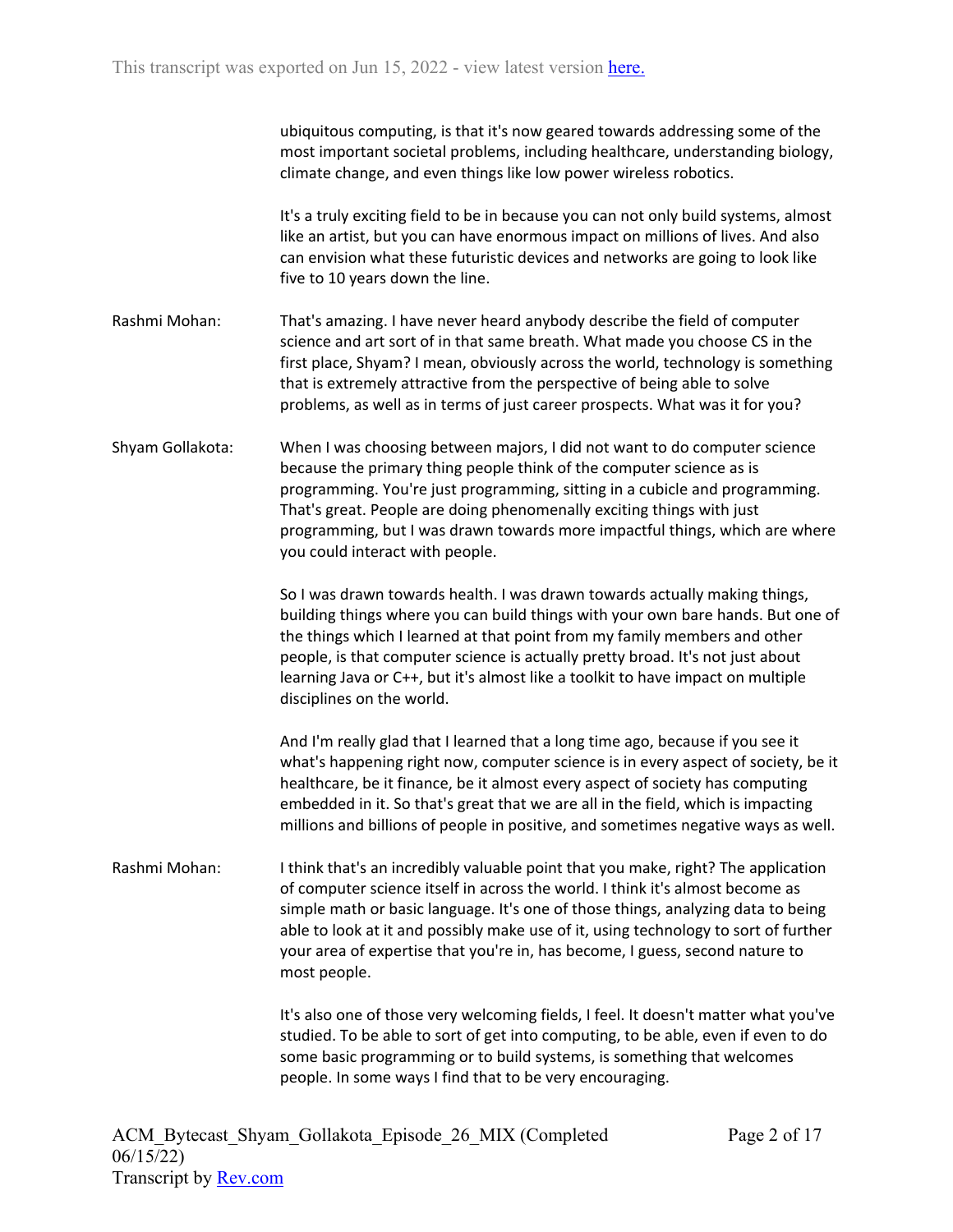|                  | ubiquitous computing, is that it's now geared towards addressing some of the<br>most important societal problems, including healthcare, understanding biology,<br>climate change, and even things like low power wireless robotics.                                                                                                                                                                                                           |
|------------------|-----------------------------------------------------------------------------------------------------------------------------------------------------------------------------------------------------------------------------------------------------------------------------------------------------------------------------------------------------------------------------------------------------------------------------------------------|
|                  | It's a truly exciting field to be in because you can not only build systems, almost<br>like an artist, but you can have enormous impact on millions of lives. And also<br>can envision what these futuristic devices and networks are going to look like<br>five to 10 years down the line.                                                                                                                                                   |
| Rashmi Mohan:    | That's amazing. I have never heard anybody describe the field of computer<br>science and art sort of in that same breath. What made you choose CS in the<br>first place, Shyam? I mean, obviously across the world, technology is something<br>that is extremely attractive from the perspective of being able to solve<br>problems, as well as in terms of just career prospects. What was it for you?                                       |
| Shyam Gollakota: | When I was choosing between majors, I did not want to do computer science<br>because the primary thing people think of the computer science as is<br>programming. You're just programming, sitting in a cubicle and programming.<br>That's great. People are doing phenomenally exciting things with just<br>programming, but I was drawn towards more impactful things, which are where<br>you could interact with people.                   |
|                  | So I was drawn towards health. I was drawn towards actually making things,<br>building things where you can build things with your own bare hands. But one of<br>the things which I learned at that point from my family members and other<br>people, is that computer science is actually pretty broad. It's not just about<br>learning Java or C++, but it's almost like a toolkit to have impact on multiple<br>disciplines on the world.  |
|                  | And I'm really glad that I learned that a long time ago, because if you see it<br>what's happening right now, computer science is in every aspect of society, be it<br>healthcare, be it finance, be it almost every aspect of society has computing<br>embedded in it. So that's great that we are all in the field, which is impacting<br>millions and billions of people in positive, and sometimes negative ways as well.                 |
| Rashmi Mohan:    | I think that's an incredibly valuable point that you make, right? The application<br>of computer science itself in across the world. I think it's almost become as<br>simple math or basic language. It's one of those things, analyzing data to being<br>able to look at it and possibly make use of it, using technology to sort of further<br>your area of expertise that you're in, has become, I guess, second nature to<br>most people. |
|                  | It's also one of those very welcoming fields, I feel. It doesn't matter what you've<br>studied. To be able to sort of get into computing, to be able, even if even to do<br>some basic programming or to build systems, is something that welcomes<br>people. In some ways I find that to be very encouraging.                                                                                                                                |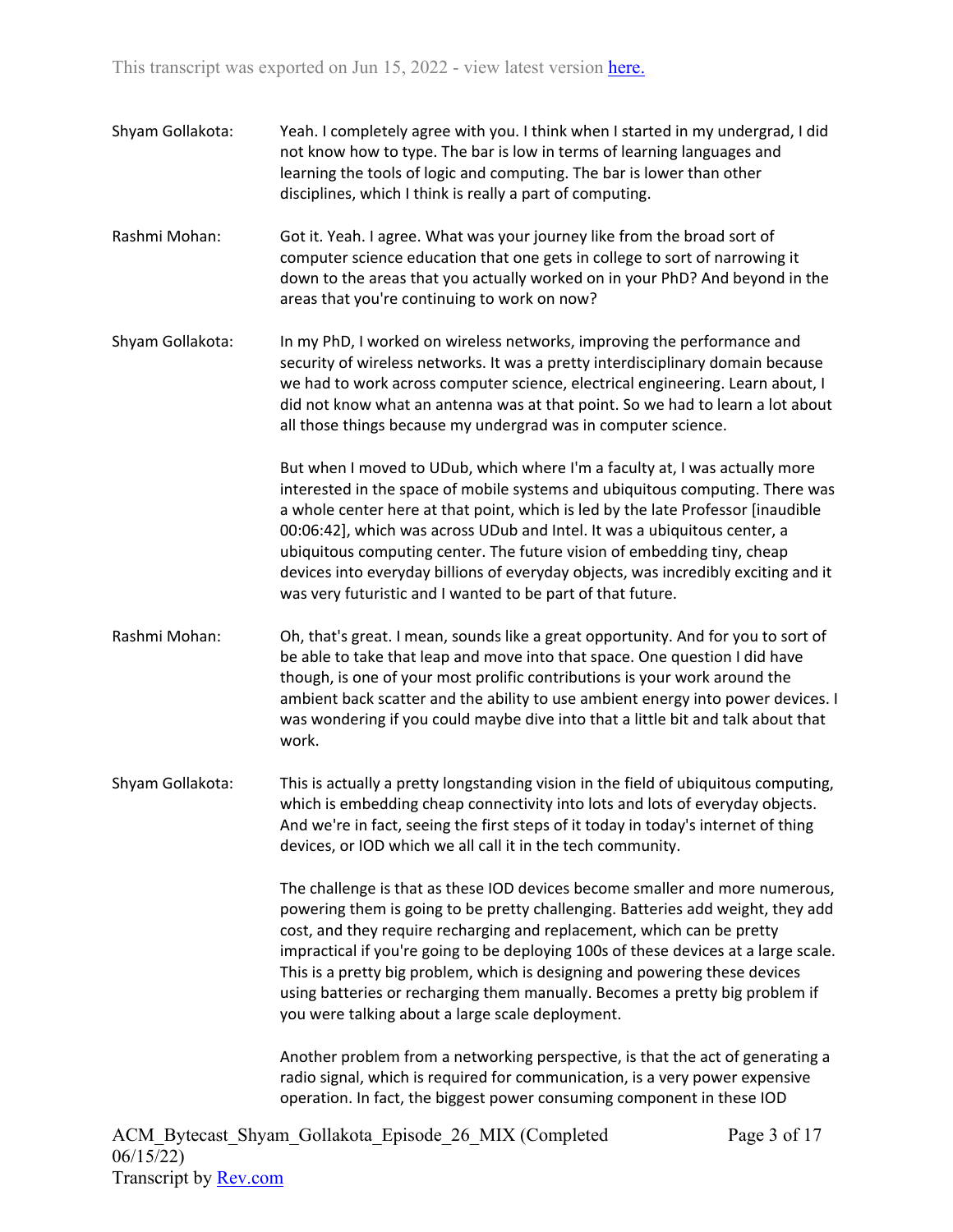- Shyam Gollakota: Yeah. I completely agree with you. I think when I started in my undergrad, I did not know how to type. The bar is low in terms of learning languages and learning the tools of logic and computing. The bar is lower than other disciplines, which I think is really a part of computing.
- Rashmi Mohan: Got it. Yeah. I agree. What was your journey like from the broad sort of computer science education that one gets in college to sort of narrowing it down to the areas that you actually worked on in your PhD? And beyond in the areas that you're continuing to work on now?
- Shyam Gollakota: In my PhD, I worked on wireless networks, improving the performance and security of wireless networks. It was a pretty interdisciplinary domain because we had to work across computer science, electrical engineering. Learn about, I did not know what an antenna was at that point. So we had to learn a lot about all those things because my undergrad was in computer science.

But when I moved to UDub, which where I'm a faculty at, I was actually more interested in the space of mobile systems and ubiquitous computing. There was a whole center here at that point, which is led by the late Professor [inaudible 00:06:42], which was across UDub and Intel. It was a ubiquitous center, a ubiquitous computing center. The future vision of embedding tiny, cheap devices into everyday billions of everyday objects, was incredibly exciting and it was very futuristic and I wanted to be part of that future.

- Rashmi Mohan: Oh, that's great. I mean, sounds like a great opportunity. And for you to sort of be able to take that leap and move into that space. One question I did have though, is one of your most prolific contributions is your work around the ambient back scatter and the ability to use ambient energy into power devices. I was wondering if you could maybe dive into that a little bit and talk about that work.
- Shyam Gollakota: This is actually a pretty longstanding vision in the field of ubiquitous computing, which is embedding cheap connectivity into lots and lots of everyday objects. And we're in fact, seeing the first steps of it today in today's internet of thing devices, or IOD which we all call it in the tech community.

The challenge is that as these IOD devices become smaller and more numerous, powering them is going to be pretty challenging. Batteries add weight, they add cost, and they require recharging and replacement, which can be pretty impractical if you're going to be deploying 100s of these devices at a large scale. This is a pretty big problem, which is designing and powering these devices using batteries or recharging them manually. Becomes a pretty big problem if you were talking about a large scale deployment.

Another problem from a networking perspective, is that the act of generating a radio signal, which is required for communication, is a very power expensive operation. In fact, the biggest power consuming component in these IOD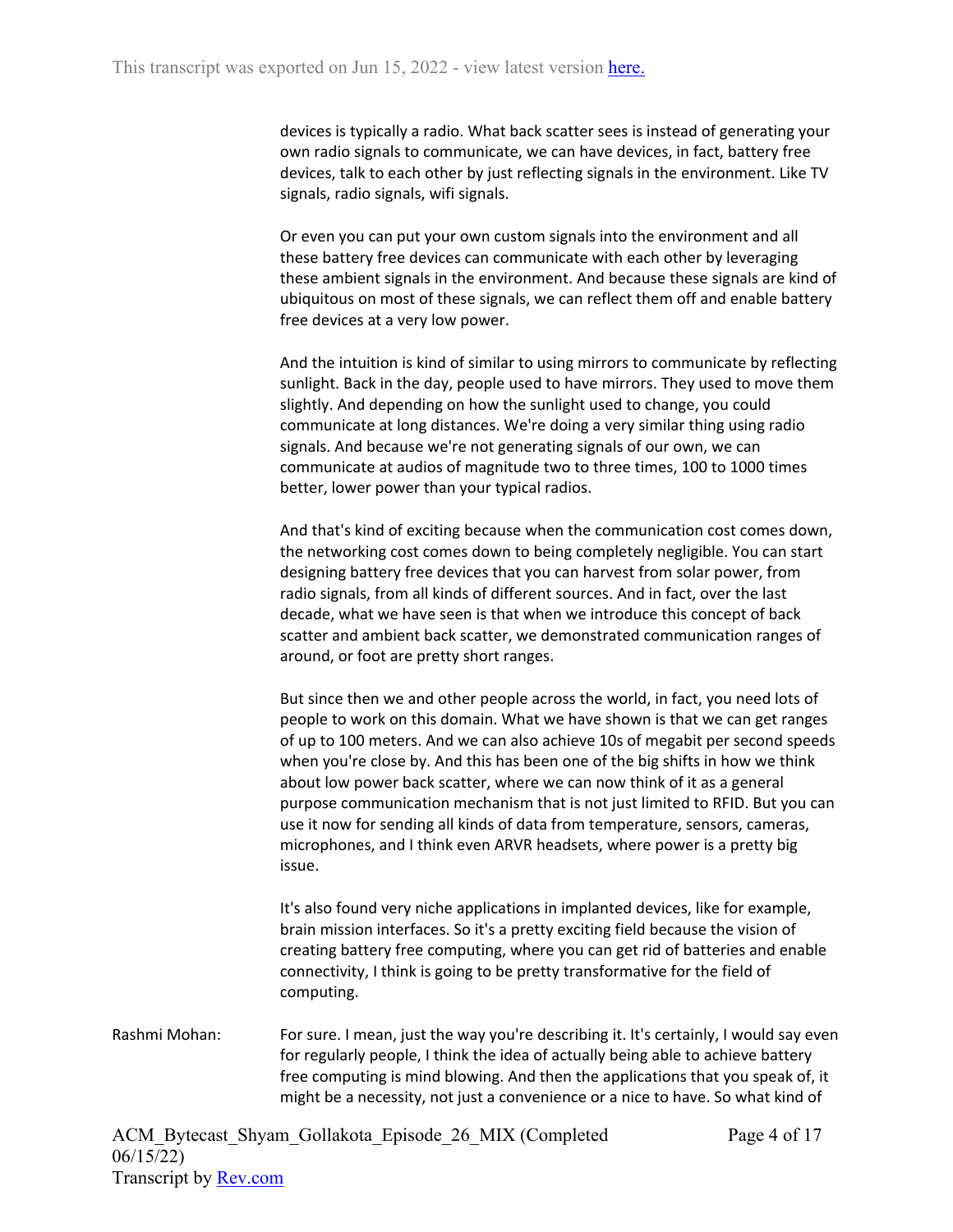devices is typically a radio. What back scatter sees is instead of generating your own radio signals to communicate, we can have devices, in fact, battery free devices, talk to each other by just reflecting signals in the environment. Like TV signals, radio signals, wifi signals.

Or even you can put your own custom signals into the environment and all these battery free devices can communicate with each other by leveraging these ambient signals in the environment. And because these signals are kind of ubiquitous on most of these signals, we can reflect them off and enable battery free devices at a very low power.

And the intuition is kind of similar to using mirrors to communicate by reflecting sunlight. Back in the day, people used to have mirrors. They used to move them slightly. And depending on how the sunlight used to change, you could communicate at long distances. We're doing a very similar thing using radio signals. And because we're not generating signals of our own, we can communicate at audios of magnitude two to three times, 100 to 1000 times better, lower power than your typical radios.

And that's kind of exciting because when the communication cost comes down, the networking cost comes down to being completely negligible. You can start designing battery free devices that you can harvest from solar power, from radio signals, from all kinds of different sources. And in fact, over the last decade, what we have seen is that when we introduce this concept of back scatter and ambient back scatter, we demonstrated communication ranges of around, or foot are pretty short ranges.

But since then we and other people across the world, in fact, you need lots of people to work on this domain. What we have shown is that we can get ranges of up to 100 meters. And we can also achieve 10s of megabit per second speeds when you're close by. And this has been one of the big shifts in how we think about low power back scatter, where we can now think of it as a general purpose communication mechanism that is not just limited to RFID. But you can use it now for sending all kinds of data from temperature, sensors, cameras, microphones, and I think even ARVR headsets, where power is a pretty big issue.

It's also found very niche applications in implanted devices, like for example, brain mission interfaces. So it's a pretty exciting field because the vision of creating battery free computing, where you can get rid of batteries and enable connectivity, I think is going to be pretty transformative for the field of computing.

Rashmi Mohan: For sure. I mean, just the way you're describing it. It's certainly, I would say even for regularly people, I think the idea of actually being able to achieve battery free computing is mind blowing. And then the applications that you speak of, it might be a necessity, not just a convenience or a nice to have. So what kind of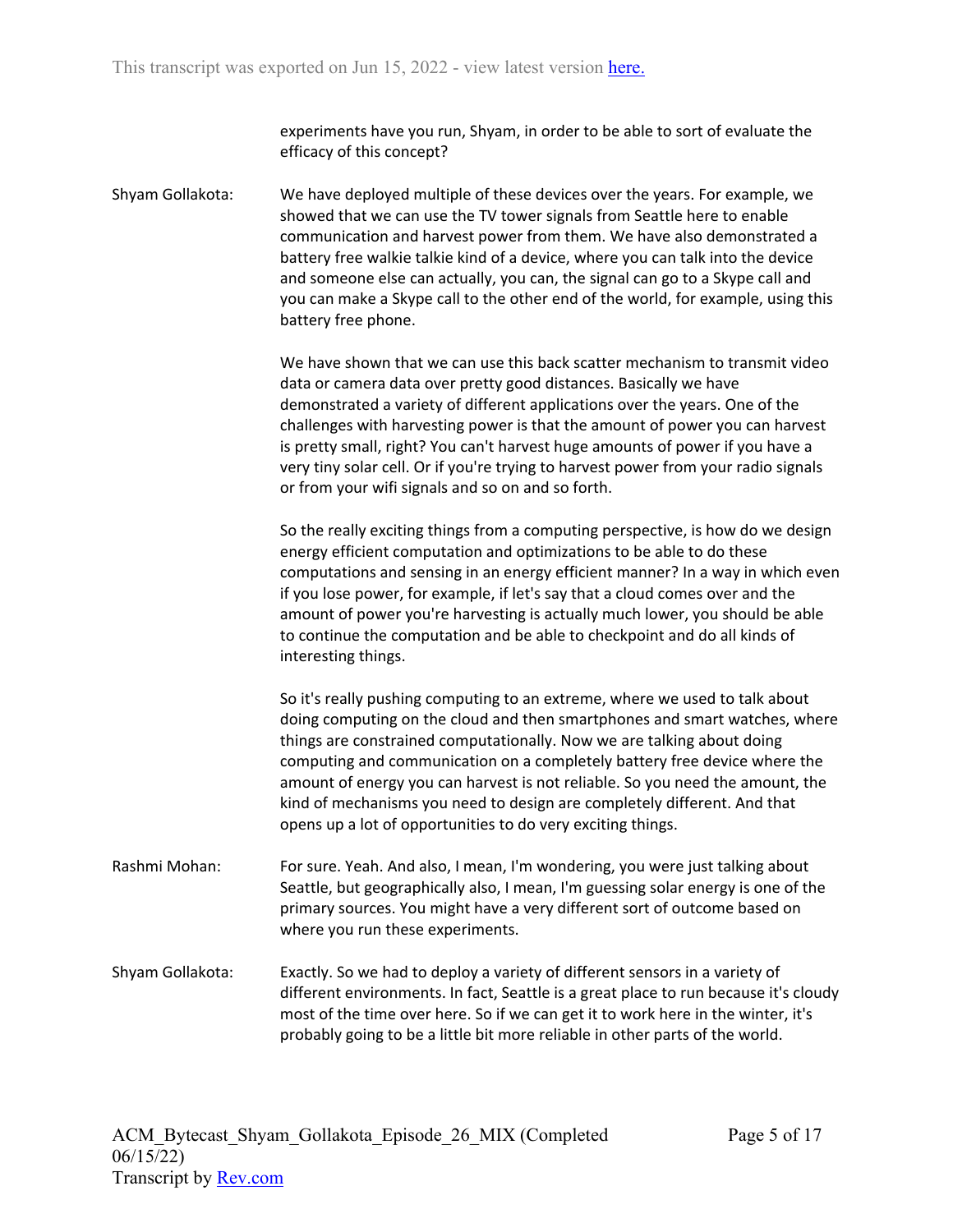experiments have you run, Shyam, in order to be able to sort of evaluate the efficacy of this concept?

Shyam Gollakota: We have deployed multiple of these devices over the years. For example, we showed that we can use the TV tower signals from Seattle here to enable communication and harvest power from them. We have also demonstrated a battery free walkie talkie kind of a device, where you can talk into the device and someone else can actually, you can, the signal can go to a Skype call and you can make a Skype call to the other end of the world, for example, using this battery free phone.

> We have shown that we can use this back scatter mechanism to transmit video data or camera data over pretty good distances. Basically we have demonstrated a variety of different applications over the years. One of the challenges with harvesting power is that the amount of power you can harvest is pretty small, right? You can't harvest huge amounts of power if you have a very tiny solar cell. Or if you're trying to harvest power from your radio signals or from your wifi signals and so on and so forth.

So the really exciting things from a computing perspective, is how do we design energy efficient computation and optimizations to be able to do these computations and sensing in an energy efficient manner? In a way in which even if you lose power, for example, if let's say that a cloud comes over and the amount of power you're harvesting is actually much lower, you should be able to continue the computation and be able to checkpoint and do all kinds of interesting things.

So it's really pushing computing to an extreme, where we used to talk about doing computing on the cloud and then smartphones and smart watches, where things are constrained computationally. Now we are talking about doing computing and communication on a completely battery free device where the amount of energy you can harvest is not reliable. So you need the amount, the kind of mechanisms you need to design are completely different. And that opens up a lot of opportunities to do very exciting things.

- Rashmi Mohan: For sure. Yeah. And also, I mean, I'm wondering, you were just talking about Seattle, but geographically also, I mean, I'm guessing solar energy is one of the primary sources. You might have a very different sort of outcome based on where you run these experiments.
- Shyam Gollakota: Exactly. So we had to deploy a variety of different sensors in a variety of different environments. In fact, Seattle is a great place to run because it's cloudy most of the time over here. So if we can get it to work here in the winter, it's probably going to be a little bit more reliable in other parts of the world.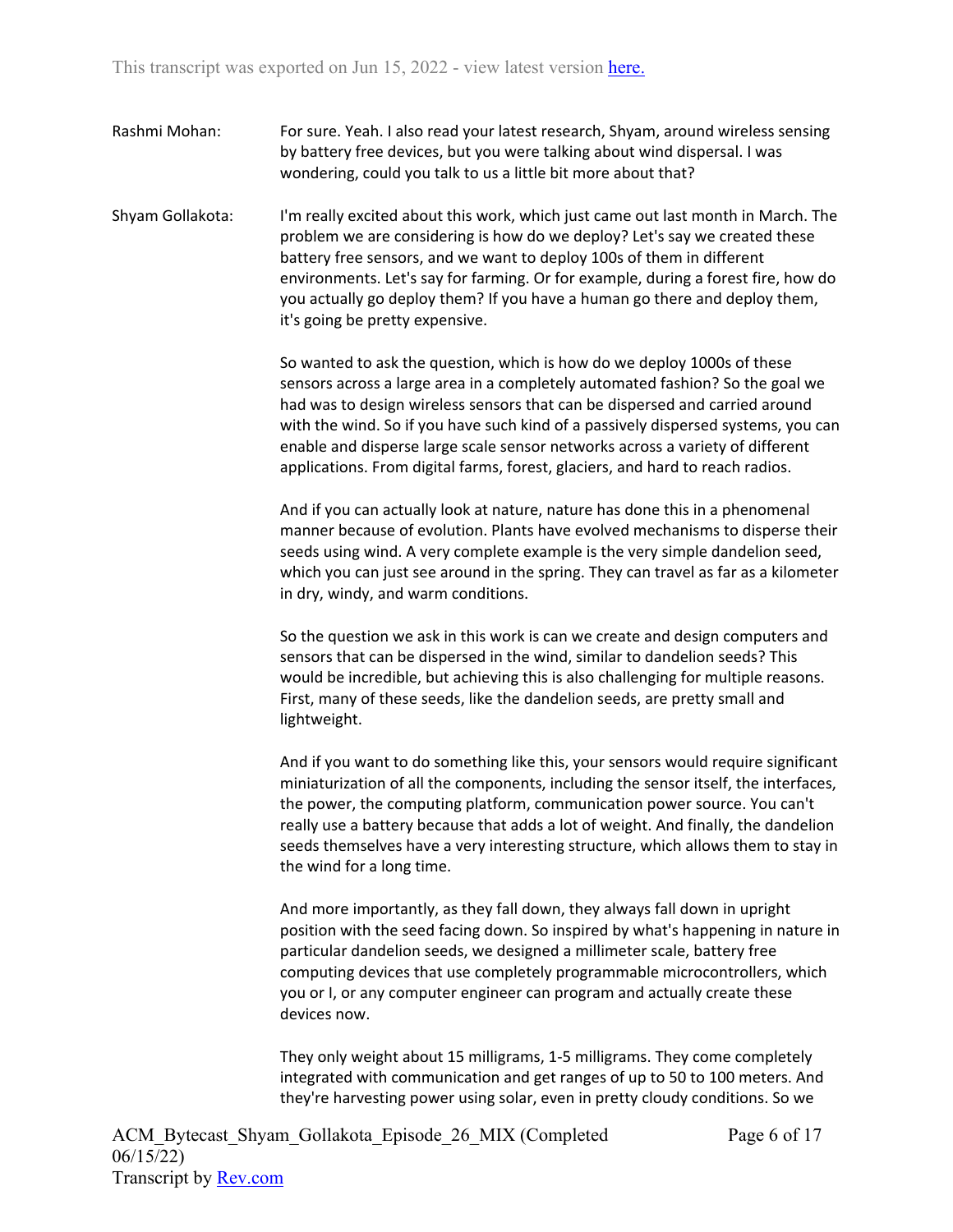Rashmi Mohan: For sure. Yeah. I also read your latest research, Shyam, around wireless sensing by battery free devices, but you were talking about wind dispersal. I was wondering, could you talk to us a little bit more about that?

Shyam Gollakota: I'm really excited about this work, which just came out last month in March. The problem we are considering is how do we deploy? Let's say we created these battery free sensors, and we want to deploy 100s of them in different environments. Let's say for farming. Or for example, during a forest fire, how do you actually go deploy them? If you have a human go there and deploy them, it's going be pretty expensive.

> So wanted to ask the question, which is how do we deploy 1000s of these sensors across a large area in a completely automated fashion? So the goal we had was to design wireless sensors that can be dispersed and carried around with the wind. So if you have such kind of a passively dispersed systems, you can enable and disperse large scale sensor networks across a variety of different applications. From digital farms, forest, glaciers, and hard to reach radios.

> And if you can actually look at nature, nature has done this in a phenomenal manner because of evolution. Plants have evolved mechanisms to disperse their seeds using wind. A very complete example is the very simple dandelion seed, which you can just see around in the spring. They can travel as far as a kilometer in dry, windy, and warm conditions.

So the question we ask in this work is can we create and design computers and sensors that can be dispersed in the wind, similar to dandelion seeds? This would be incredible, but achieving this is also challenging for multiple reasons. First, many of these seeds, like the dandelion seeds, are pretty small and lightweight.

And if you want to do something like this, your sensors would require significant miniaturization of all the components, including the sensor itself, the interfaces, the power, the computing platform, communication power source. You can't really use a battery because that adds a lot of weight. And finally, the dandelion seeds themselves have a very interesting structure, which allows them to stay in the wind for a long time.

And more importantly, as they fall down, they always fall down in upright position with the seed facing down. So inspired by what's happening in nature in particular dandelion seeds, we designed a millimeter scale, battery free computing devices that use completely programmable microcontrollers, which you or I, or any computer engineer can program and actually create these devices now.

They only weight about 15 milligrams, 1-5 milligrams. They come completely integrated with communication and get ranges of up to 50 to 100 meters. And they're harvesting power using solar, even in pretty cloudy conditions. So we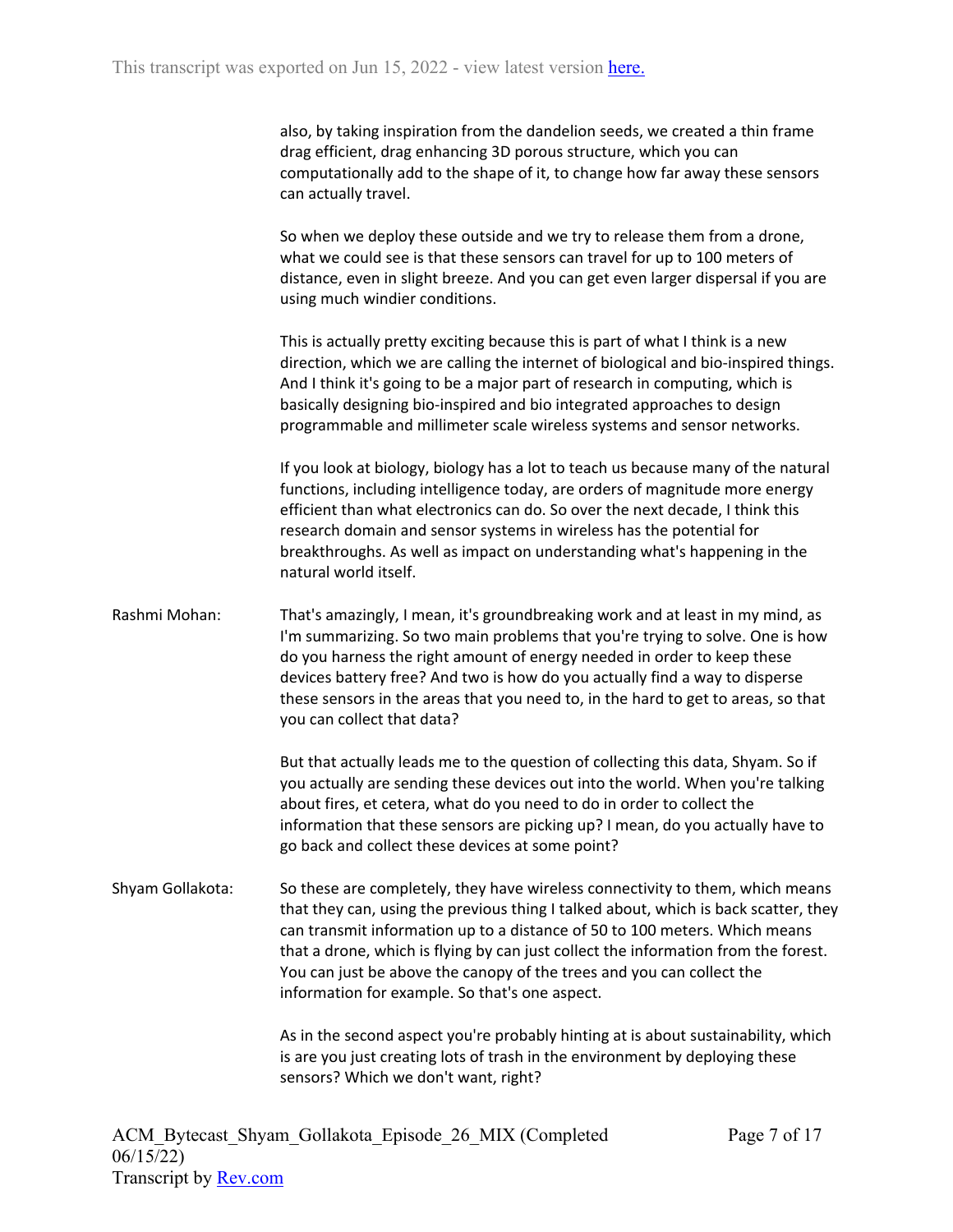also, by taking inspiration from the dandelion seeds, we created a thin frame drag efficient, drag enhancing 3D porous structure, which you can computationally add to the shape of it, to change how far away these sensors can actually travel.

So when we deploy these outside and we try to release them from a drone, what we could see is that these sensors can travel for up to 100 meters of distance, even in slight breeze. And you can get even larger dispersal if you are using much windier conditions.

This is actually pretty exciting because this is part of what I think is a new direction, which we are calling the internet of biological and bio-inspired things. And I think it's going to be a major part of research in computing, which is basically designing bio-inspired and bio integrated approaches to design programmable and millimeter scale wireless systems and sensor networks.

If you look at biology, biology has a lot to teach us because many of the natural functions, including intelligence today, are orders of magnitude more energy efficient than what electronics can do. So over the next decade, I think this research domain and sensor systems in wireless has the potential for breakthroughs. As well as impact on understanding what's happening in the natural world itself.

Rashmi Mohan: That's amazingly, I mean, it's groundbreaking work and at least in my mind, as I'm summarizing. So two main problems that you're trying to solve. One is how do you harness the right amount of energy needed in order to keep these devices battery free? And two is how do you actually find a way to disperse these sensors in the areas that you need to, in the hard to get to areas, so that you can collect that data?

> But that actually leads me to the question of collecting this data, Shyam. So if you actually are sending these devices out into the world. When you're talking about fires, et cetera, what do you need to do in order to collect the information that these sensors are picking up? I mean, do you actually have to go back and collect these devices at some point?

Shyam Gollakota: So these are completely, they have wireless connectivity to them, which means that they can, using the previous thing I talked about, which is back scatter, they can transmit information up to a distance of 50 to 100 meters. Which means that a drone, which is flying by can just collect the information from the forest. You can just be above the canopy of the trees and you can collect the information for example. So that's one aspect.

> As in the second aspect you're probably hinting at is about sustainability, which is are you just creating lots of trash in the environment by deploying these sensors? Which we don't want, right?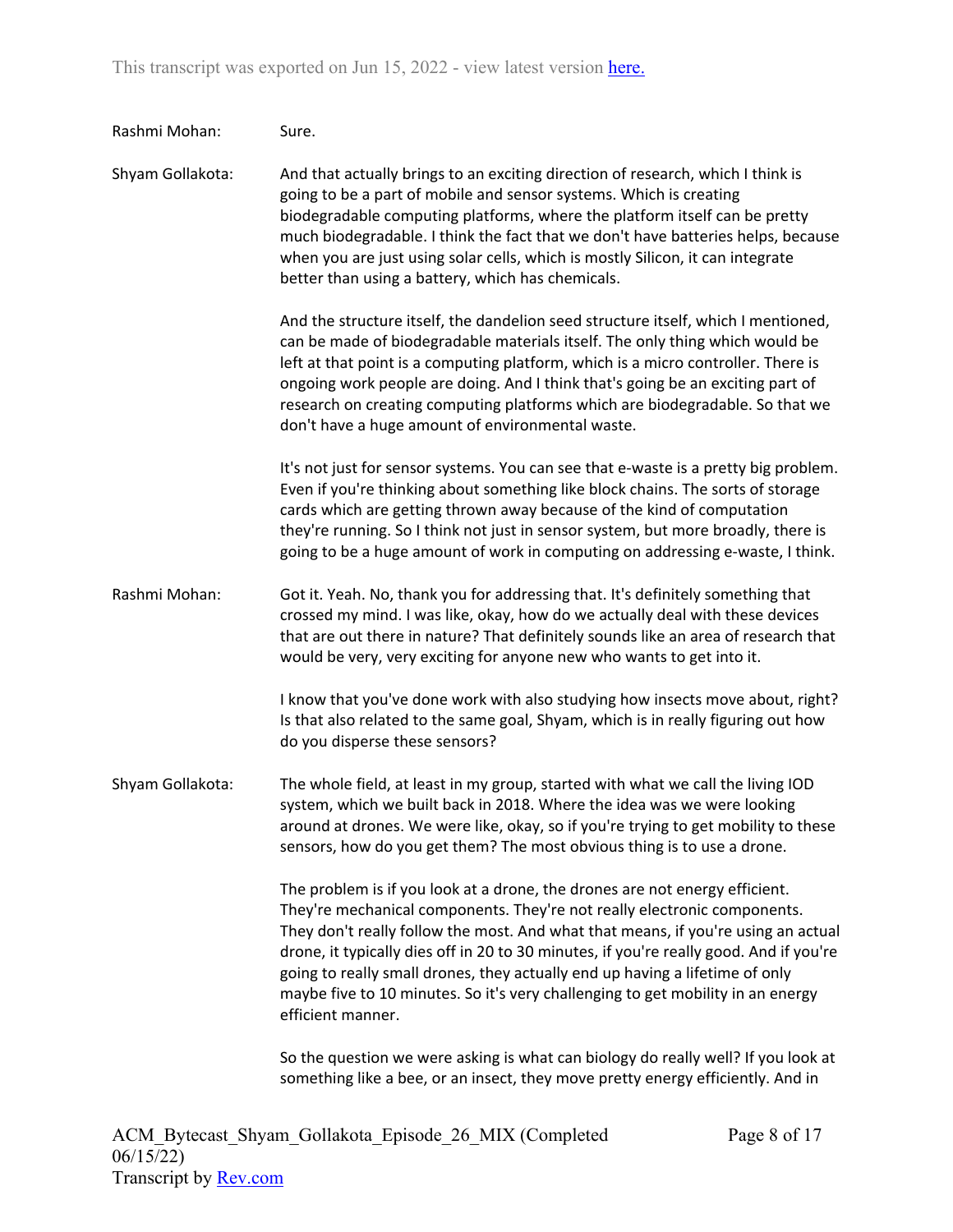| Rashmi Mohan:    | Sure.                                                                                                                                                                                                                                                                                                                                                                                                                                                                                                                          |
|------------------|--------------------------------------------------------------------------------------------------------------------------------------------------------------------------------------------------------------------------------------------------------------------------------------------------------------------------------------------------------------------------------------------------------------------------------------------------------------------------------------------------------------------------------|
| Shyam Gollakota: | And that actually brings to an exciting direction of research, which I think is<br>going to be a part of mobile and sensor systems. Which is creating<br>biodegradable computing platforms, where the platform itself can be pretty<br>much biodegradable. I think the fact that we don't have batteries helps, because<br>when you are just using solar cells, which is mostly Silicon, it can integrate<br>better than using a battery, which has chemicals.                                                                 |
|                  | And the structure itself, the dandelion seed structure itself, which I mentioned,<br>can be made of biodegradable materials itself. The only thing which would be<br>left at that point is a computing platform, which is a micro controller. There is<br>ongoing work people are doing. And I think that's going be an exciting part of<br>research on creating computing platforms which are biodegradable. So that we<br>don't have a huge amount of environmental waste.                                                   |
|                  | It's not just for sensor systems. You can see that e-waste is a pretty big problem.<br>Even if you're thinking about something like block chains. The sorts of storage<br>cards which are getting thrown away because of the kind of computation<br>they're running. So I think not just in sensor system, but more broadly, there is<br>going to be a huge amount of work in computing on addressing e-waste, I think.                                                                                                        |
| Rashmi Mohan:    | Got it. Yeah. No, thank you for addressing that. It's definitely something that<br>crossed my mind. I was like, okay, how do we actually deal with these devices<br>that are out there in nature? That definitely sounds like an area of research that<br>would be very, very exciting for anyone new who wants to get into it.                                                                                                                                                                                                |
|                  | I know that you've done work with also studying how insects move about, right?<br>Is that also related to the same goal, Shyam, which is in really figuring out how<br>do you disperse these sensors?                                                                                                                                                                                                                                                                                                                          |
| Shyam Gollakota: | The whole field, at least in my group, started with what we call the living IOD<br>system, which we built back in 2018. Where the idea was we were looking<br>around at drones. We were like, okay, so if you're trying to get mobility to these<br>sensors, how do you get them? The most obvious thing is to use a drone.                                                                                                                                                                                                    |
|                  | The problem is if you look at a drone, the drones are not energy efficient.<br>They're mechanical components. They're not really electronic components.<br>They don't really follow the most. And what that means, if you're using an actual<br>drone, it typically dies off in 20 to 30 minutes, if you're really good. And if you're<br>going to really small drones, they actually end up having a lifetime of only<br>maybe five to 10 minutes. So it's very challenging to get mobility in an energy<br>efficient manner. |
|                  | So the question we were asking is what can biology do really well? If you look at<br>something like a bee, or an insect, they move pretty energy efficiently. And in                                                                                                                                                                                                                                                                                                                                                           |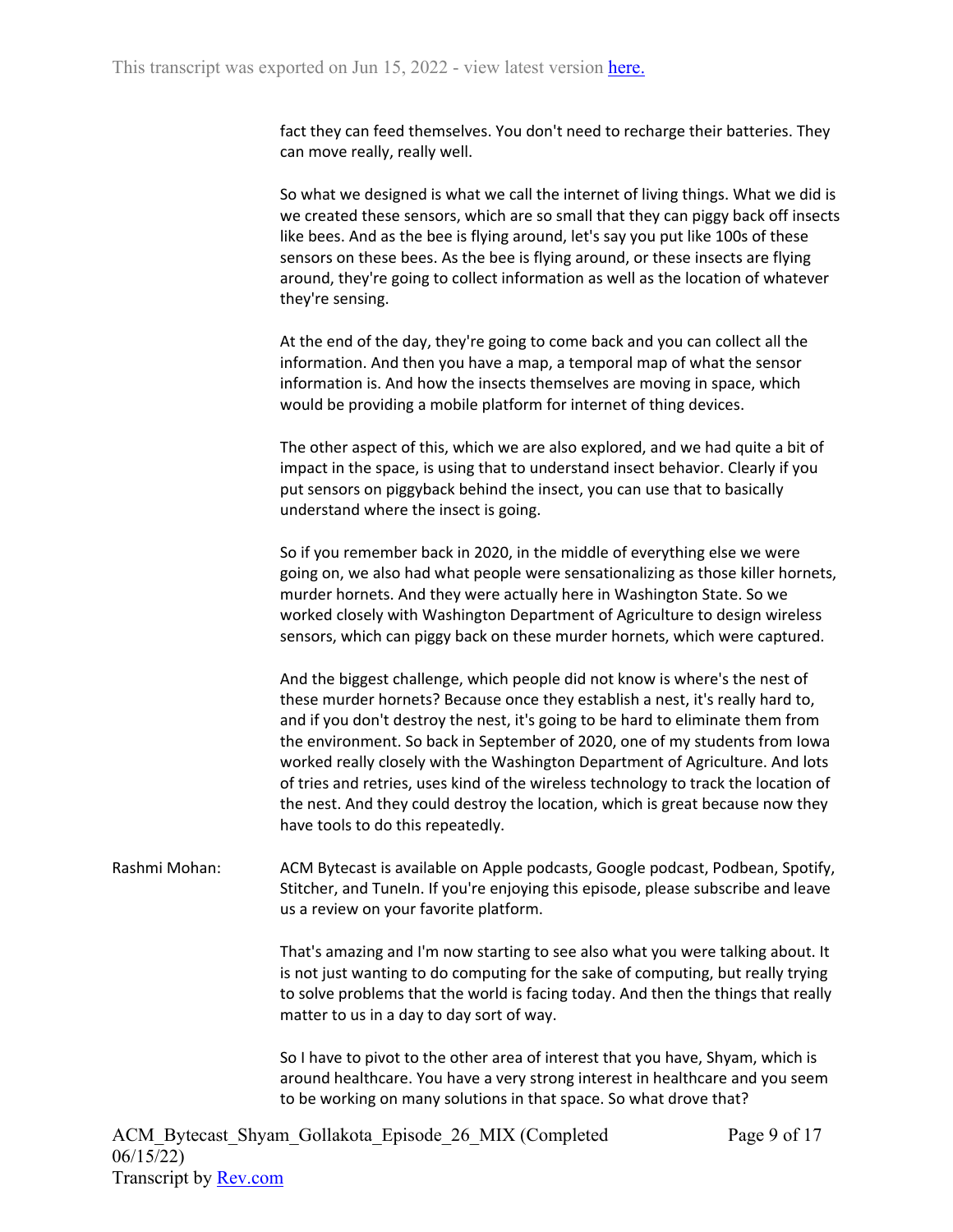fact they can feed themselves. You don't need to recharge their batteries. They can move really, really well.

So what we designed is what we call the internet of living things. What we did is we created these sensors, which are so small that they can piggy back off insects like bees. And as the bee is flying around, let's say you put like 100s of these sensors on these bees. As the bee is flying around, or these insects are flying around, they're going to collect information as well as the location of whatever they're sensing.

At the end of the day, they're going to come back and you can collect all the information. And then you have a map, a temporal map of what the sensor information is. And how the insects themselves are moving in space, which would be providing a mobile platform for internet of thing devices.

The other aspect of this, which we are also explored, and we had quite a bit of impact in the space, is using that to understand insect behavior. Clearly if you put sensors on piggyback behind the insect, you can use that to basically understand where the insect is going.

So if you remember back in 2020, in the middle of everything else we were going on, we also had what people were sensationalizing as those killer hornets, murder hornets. And they were actually here in Washington State. So we worked closely with Washington Department of Agriculture to design wireless sensors, which can piggy back on these murder hornets, which were captured.

And the biggest challenge, which people did not know is where's the nest of these murder hornets? Because once they establish a nest, it's really hard to, and if you don't destroy the nest, it's going to be hard to eliminate them from the environment. So back in September of 2020, one of my students from Iowa worked really closely with the Washington Department of Agriculture. And lots of tries and retries, uses kind of the wireless technology to track the location of the nest. And they could destroy the location, which is great because now they have tools to do this repeatedly.

Rashmi Mohan: ACM Bytecast is available on Apple podcasts, Google podcast, Podbean, Spotify, Stitcher, and TuneIn. If you're enjoying this episode, please subscribe and leave us a review on your favorite platform.

> That's amazing and I'm now starting to see also what you were talking about. It is not just wanting to do computing for the sake of computing, but really trying to solve problems that the world is facing today. And then the things that really matter to us in a day to day sort of way.

> So I have to pivot to the other area of interest that you have, Shyam, which is around healthcare. You have a very strong interest in healthcare and you seem to be working on many solutions in that space. So what drove that?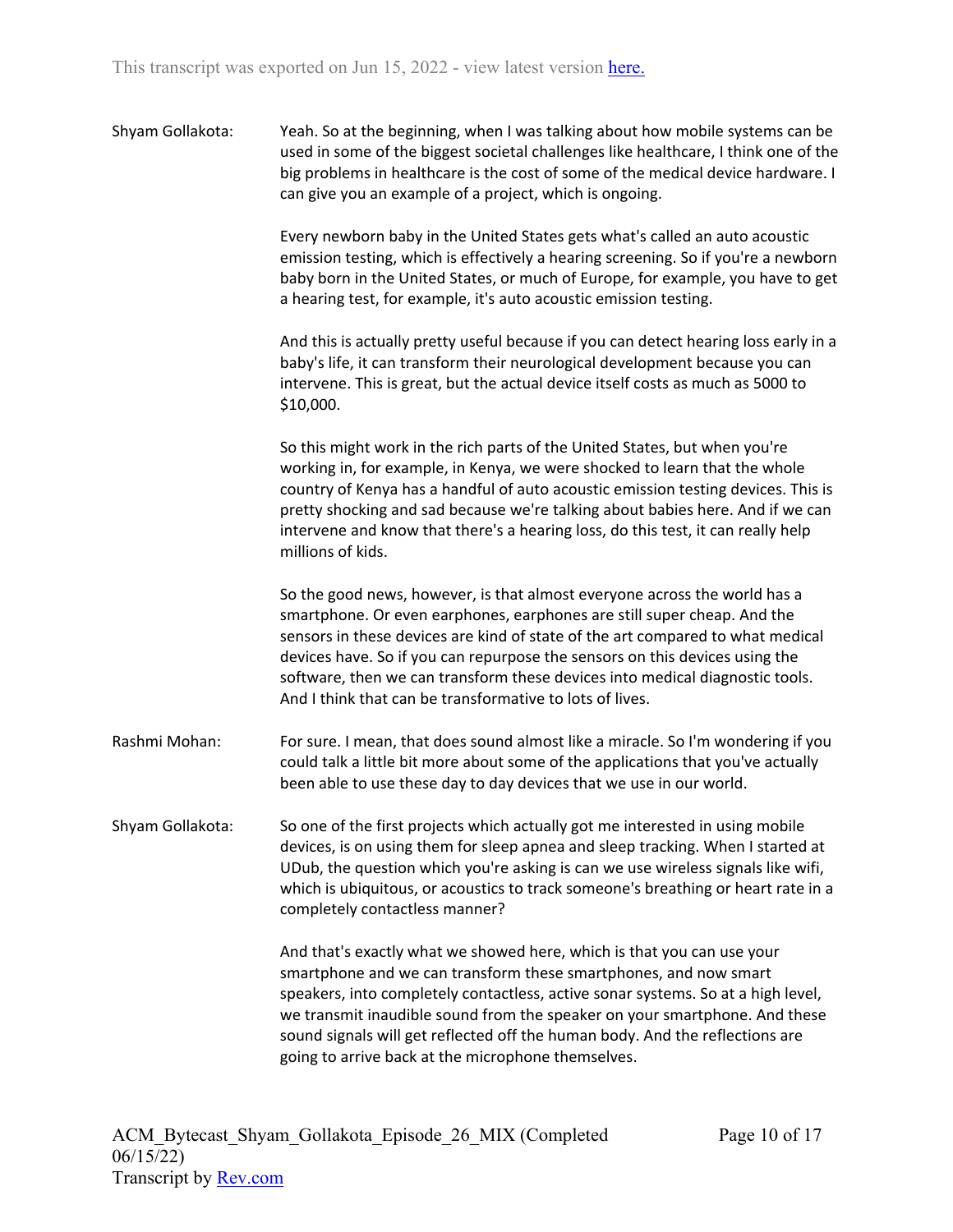Shyam Gollakota: Yeah. So at the beginning, when I was talking about how mobile systems can be used in some of the biggest societal challenges like healthcare, I think one of the big problems in healthcare is the cost of some of the medical device hardware. I can give you an example of a project, which is ongoing.

> Every newborn baby in the United States gets what's called an auto acoustic emission testing, which is effectively a hearing screening. So if you're a newborn baby born in the United States, or much of Europe, for example, you have to get a hearing test, for example, it's auto acoustic emission testing.

> And this is actually pretty useful because if you can detect hearing loss early in a baby's life, it can transform their neurological development because you can intervene. This is great, but the actual device itself costs as much as 5000 to \$10,000.

> So this might work in the rich parts of the United States, but when you're working in, for example, in Kenya, we were shocked to learn that the whole country of Kenya has a handful of auto acoustic emission testing devices. This is pretty shocking and sad because we're talking about babies here. And if we can intervene and know that there's a hearing loss, do this test, it can really help millions of kids.

So the good news, however, is that almost everyone across the world has a smartphone. Or even earphones, earphones are still super cheap. And the sensors in these devices are kind of state of the art compared to what medical devices have. So if you can repurpose the sensors on this devices using the software, then we can transform these devices into medical diagnostic tools. And I think that can be transformative to lots of lives.

- Rashmi Mohan: For sure. I mean, that does sound almost like a miracle. So I'm wondering if you could talk a little bit more about some of the applications that you've actually been able to use these day to day devices that we use in our world.
- Shyam Gollakota: So one of the first projects which actually got me interested in using mobile devices, is on using them for sleep apnea and sleep tracking. When I started at UDub, the question which you're asking is can we use wireless signals like wifi, which is ubiquitous, or acoustics to track someone's breathing or heart rate in a completely contactless manner?

And that's exactly what we showed here, which is that you can use your smartphone and we can transform these smartphones, and now smart speakers, into completely contactless, active sonar systems. So at a high level, we transmit inaudible sound from the speaker on your smartphone. And these sound signals will get reflected off the human body. And the reflections are going to arrive back at the microphone themselves.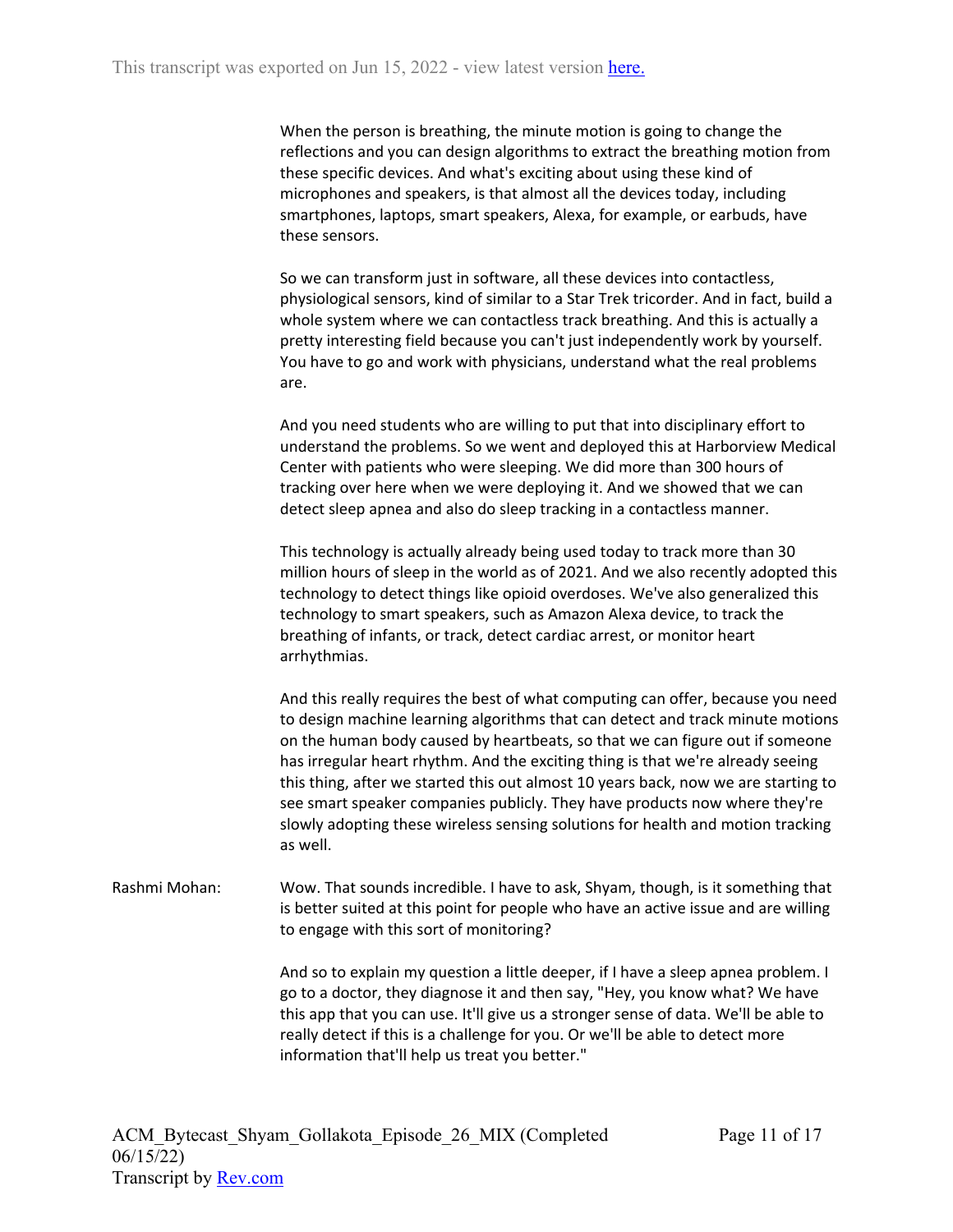When the person is breathing, the minute motion is going to change the reflections and you can design algorithms to extract the breathing motion from these specific devices. And what's exciting about using these kind of microphones and speakers, is that almost all the devices today, including smartphones, laptops, smart speakers, Alexa, for example, or earbuds, have these sensors.

So we can transform just in software, all these devices into contactless, physiological sensors, kind of similar to a Star Trek tricorder. And in fact, build a whole system where we can contactless track breathing. And this is actually a pretty interesting field because you can't just independently work by yourself. You have to go and work with physicians, understand what the real problems are.

And you need students who are willing to put that into disciplinary effort to understand the problems. So we went and deployed this at Harborview Medical Center with patients who were sleeping. We did more than 300 hours of tracking over here when we were deploying it. And we showed that we can detect sleep apnea and also do sleep tracking in a contactless manner.

This technology is actually already being used today to track more than 30 million hours of sleep in the world as of 2021. And we also recently adopted this technology to detect things like opioid overdoses. We've also generalized this technology to smart speakers, such as Amazon Alexa device, to track the breathing of infants, or track, detect cardiac arrest, or monitor heart arrhythmias.

And this really requires the best of what computing can offer, because you need to design machine learning algorithms that can detect and track minute motions on the human body caused by heartbeats, so that we can figure out if someone has irregular heart rhythm. And the exciting thing is that we're already seeing this thing, after we started this out almost 10 years back, now we are starting to see smart speaker companies publicly. They have products now where they're slowly adopting these wireless sensing solutions for health and motion tracking as well.

Rashmi Mohan: Wow. That sounds incredible. I have to ask, Shyam, though, is it something that is better suited at this point for people who have an active issue and are willing to engage with this sort of monitoring?

> And so to explain my question a little deeper, if I have a sleep apnea problem. I go to a doctor, they diagnose it and then say, "Hey, you know what? We have this app that you can use. It'll give us a stronger sense of data. We'll be able to really detect if this is a challenge for you. Or we'll be able to detect more information that'll help us treat you better."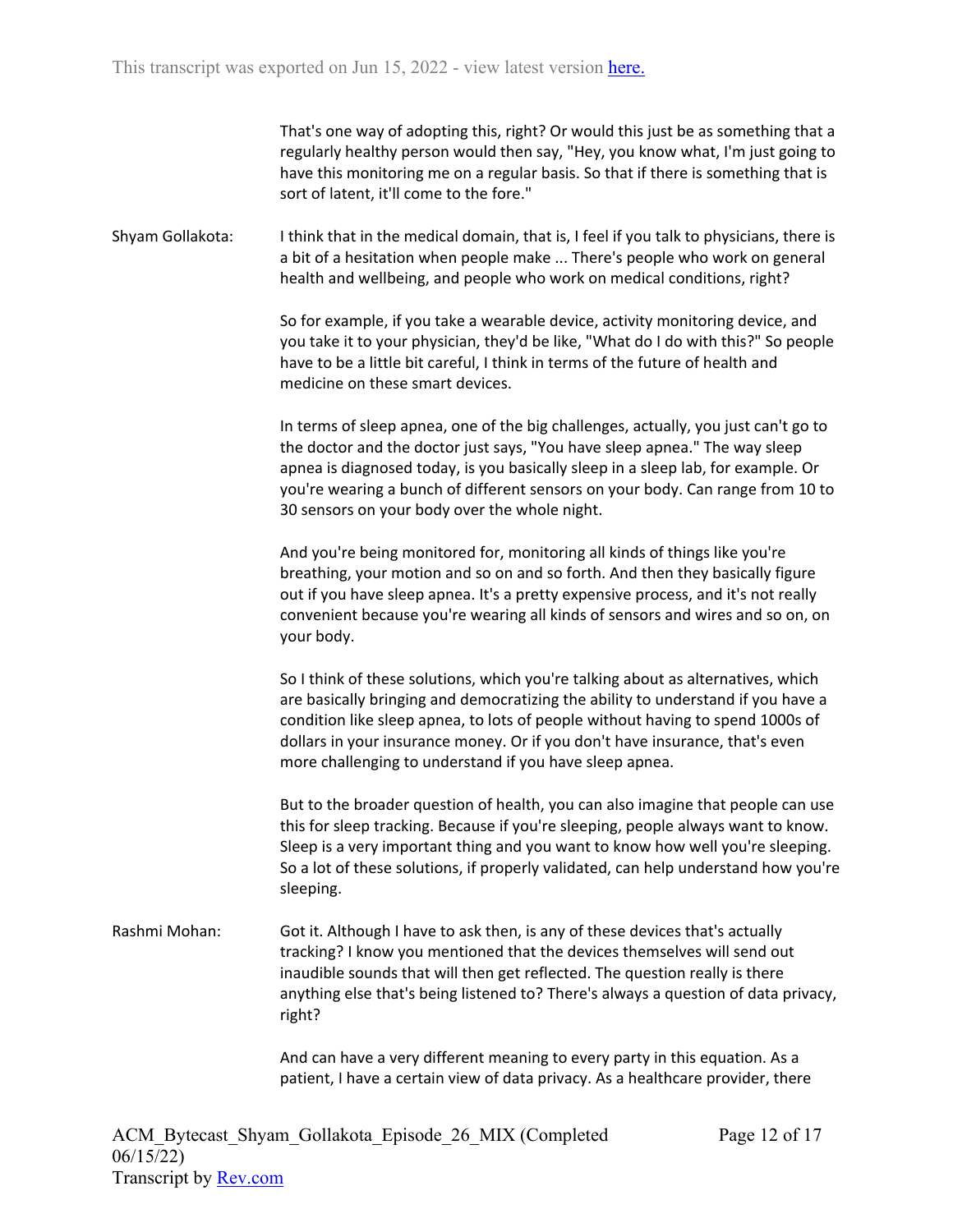That's one way of adopting this, right? Or would this just be as something that a regularly healthy person would then say, "Hey, you know what, I'm just going to have this monitoring me on a regular basis. So that if there is something that is sort of latent, it'll come to the fore."

Shyam Gollakota: I think that in the medical domain, that is, I feel if you talk to physicians, there is a bit of a hesitation when people make ... There's people who work on general health and wellbeing, and people who work on medical conditions, right?

> So for example, if you take a wearable device, activity monitoring device, and you take it to your physician, they'd be like, "What do I do with this?" So people have to be a little bit careful, I think in terms of the future of health and medicine on these smart devices.

> In terms of sleep apnea, one of the big challenges, actually, you just can't go to the doctor and the doctor just says, "You have sleep apnea." The way sleep apnea is diagnosed today, is you basically sleep in a sleep lab, for example. Or you're wearing a bunch of different sensors on your body. Can range from 10 to 30 sensors on your body over the whole night.

> And you're being monitored for, monitoring all kinds of things like you're breathing, your motion and so on and so forth. And then they basically figure out if you have sleep apnea. It's a pretty expensive process, and it's not really convenient because you're wearing all kinds of sensors and wires and so on, on your body.

> So I think of these solutions, which you're talking about as alternatives, which are basically bringing and democratizing the ability to understand if you have a condition like sleep apnea, to lots of people without having to spend 1000s of dollars in your insurance money. Or if you don't have insurance, that's even more challenging to understand if you have sleep apnea.

But to the broader question of health, you can also imagine that people can use this for sleep tracking. Because if you're sleeping, people always want to know. Sleep is a very important thing and you want to know how well you're sleeping. So a lot of these solutions, if properly validated, can help understand how you're sleeping.

Rashmi Mohan: Got it. Although I have to ask then, is any of these devices that's actually tracking? I know you mentioned that the devices themselves will send out inaudible sounds that will then get reflected. The question really is there anything else that's being listened to? There's always a question of data privacy, right?

> And can have a very different meaning to every party in this equation. As a patient, I have a certain view of data privacy. As a healthcare provider, there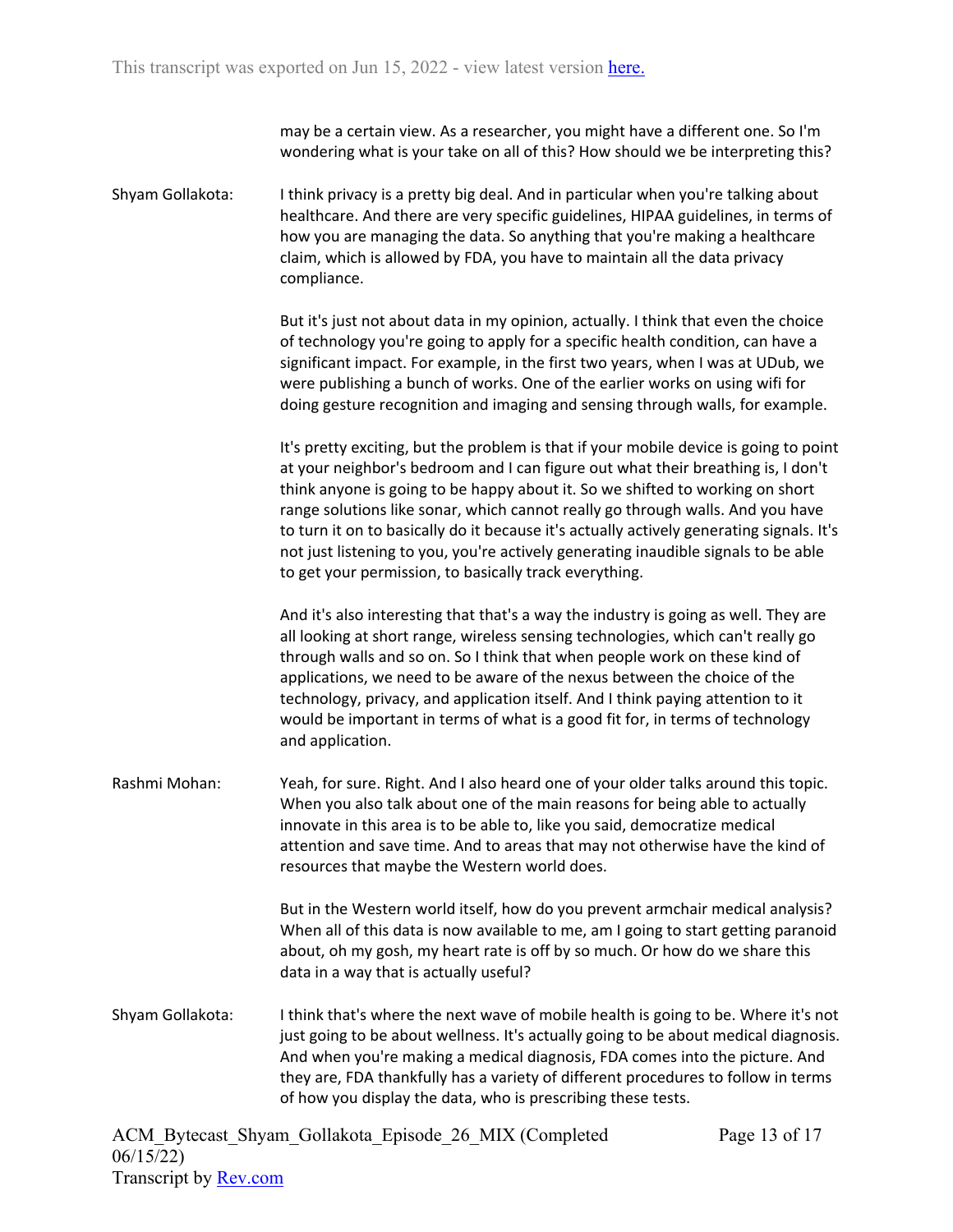may be a certain view. As a researcher, you might have a different one. So I'm wondering what is your take on all of this? How should we be interpreting this?

Shyam Gollakota: I think privacy is a pretty big deal. And in particular when you're talking about healthcare. And there are very specific guidelines, HIPAA guidelines, in terms of how you are managing the data. So anything that you're making a healthcare claim, which is allowed by FDA, you have to maintain all the data privacy compliance.

> But it's just not about data in my opinion, actually. I think that even the choice of technology you're going to apply for a specific health condition, can have a significant impact. For example, in the first two years, when I was at UDub, we were publishing a bunch of works. One of the earlier works on using wifi for doing gesture recognition and imaging and sensing through walls, for example.

It's pretty exciting, but the problem is that if your mobile device is going to point at your neighbor's bedroom and I can figure out what their breathing is, I don't think anyone is going to be happy about it. So we shifted to working on short range solutions like sonar, which cannot really go through walls. And you have to turn it on to basically do it because it's actually actively generating signals. It's not just listening to you, you're actively generating inaudible signals to be able to get your permission, to basically track everything.

And it's also interesting that that's a way the industry is going as well. They are all looking at short range, wireless sensing technologies, which can't really go through walls and so on. So I think that when people work on these kind of applications, we need to be aware of the nexus between the choice of the technology, privacy, and application itself. And I think paying attention to it would be important in terms of what is a good fit for, in terms of technology and application.

Rashmi Mohan: Yeah, for sure. Right. And I also heard one of your older talks around this topic. When you also talk about one of the main reasons for being able to actually innovate in this area is to be able to, like you said, democratize medical attention and save time. And to areas that may not otherwise have the kind of resources that maybe the Western world does.

> But in the Western world itself, how do you prevent armchair medical analysis? When all of this data is now available to me, am I going to start getting paranoid about, oh my gosh, my heart rate is off by so much. Or how do we share this data in a way that is actually useful?

Shyam Gollakota: I think that's where the next wave of mobile health is going to be. Where it's not just going to be about wellness. It's actually going to be about medical diagnosis. And when you're making a medical diagnosis, FDA comes into the picture. And they are, FDA thankfully has a variety of different procedures to follow in terms of how you display the data, who is prescribing these tests.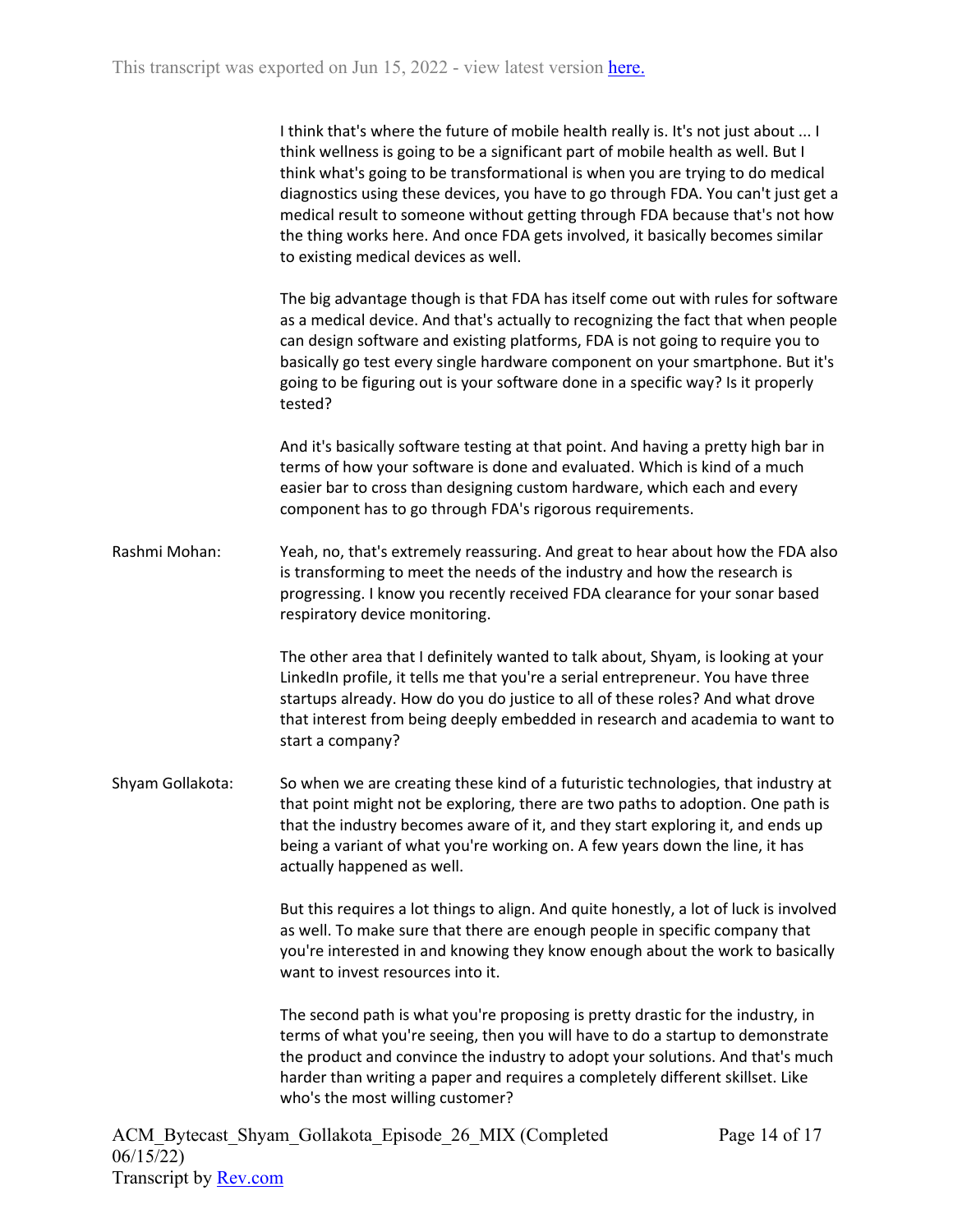I think that's where the future of mobile health really is. It's not just about ... I think wellness is going to be a significant part of mobile health as well. But I think what's going to be transformational is when you are trying to do medical diagnostics using these devices, you have to go through FDA. You can't just get a medical result to someone without getting through FDA because that's not how the thing works here. And once FDA gets involved, it basically becomes similar to existing medical devices as well.

The big advantage though is that FDA has itself come out with rules for software as a medical device. And that's actually to recognizing the fact that when people can design software and existing platforms, FDA is not going to require you to basically go test every single hardware component on your smartphone. But it's going to be figuring out is your software done in a specific way? Is it properly tested?

And it's basically software testing at that point. And having a pretty high bar in terms of how your software is done and evaluated. Which is kind of a much easier bar to cross than designing custom hardware, which each and every component has to go through FDA's rigorous requirements.

Rashmi Mohan: Yeah, no, that's extremely reassuring. And great to hear about how the FDA also is transforming to meet the needs of the industry and how the research is progressing. I know you recently received FDA clearance for your sonar based respiratory device monitoring.

> The other area that I definitely wanted to talk about, Shyam, is looking at your LinkedIn profile, it tells me that you're a serial entrepreneur. You have three startups already. How do you do justice to all of these roles? And what drove that interest from being deeply embedded in research and academia to want to start a company?

Shyam Gollakota: So when we are creating these kind of a futuristic technologies, that industry at that point might not be exploring, there are two paths to adoption. One path is that the industry becomes aware of it, and they start exploring it, and ends up being a variant of what you're working on. A few years down the line, it has actually happened as well.

> But this requires a lot things to align. And quite honestly, a lot of luck is involved as well. To make sure that there are enough people in specific company that you're interested in and knowing they know enough about the work to basically want to invest resources into it.

> The second path is what you're proposing is pretty drastic for the industry, in terms of what you're seeing, then you will have to do a startup to demonstrate the product and convince the industry to adopt your solutions. And that's much harder than writing a paper and requires a completely different skillset. Like who's the most willing customer?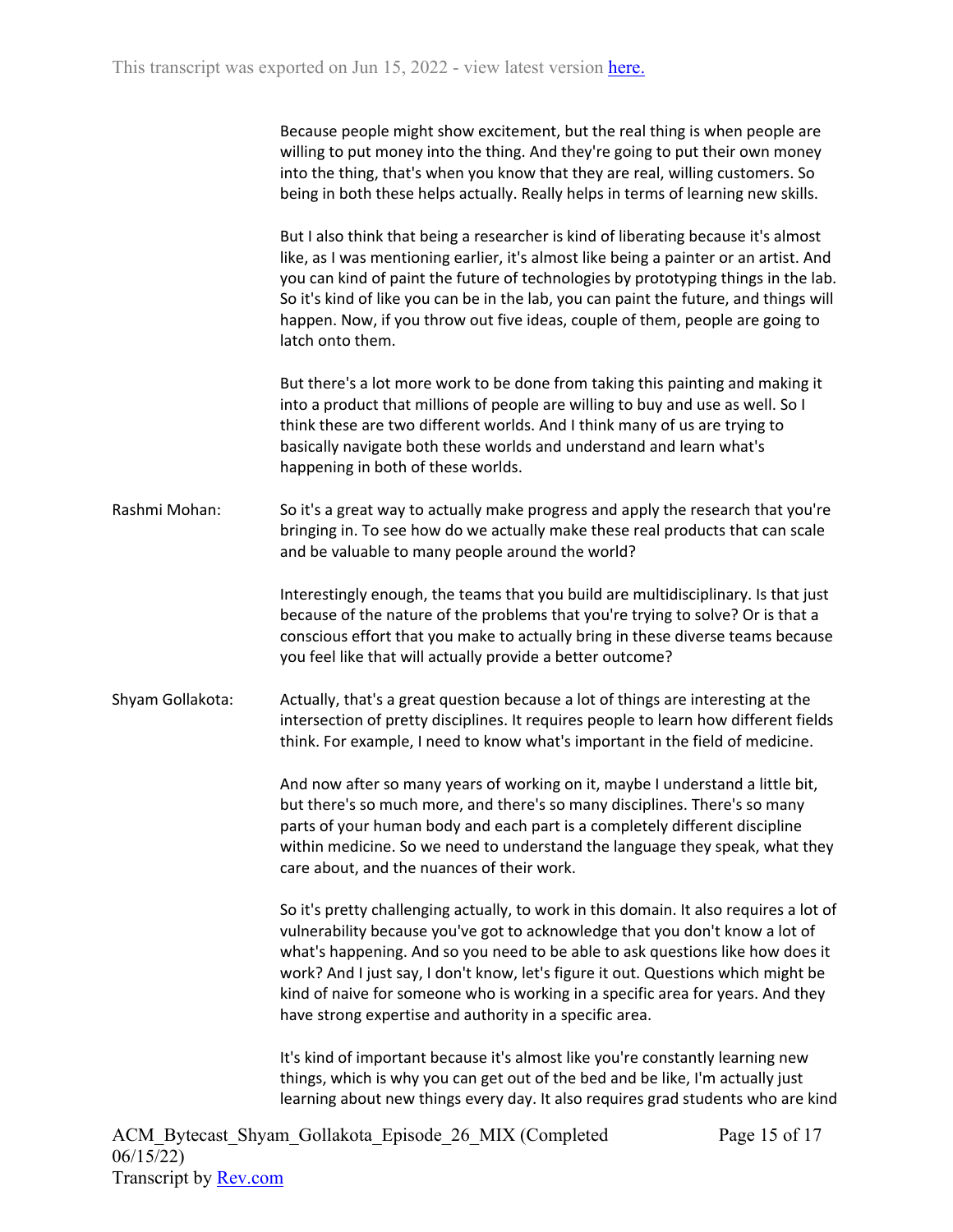| Because people might show excitement, but the real thing is when people are       |
|-----------------------------------------------------------------------------------|
| willing to put money into the thing. And they're going to put their own money     |
| into the thing, that's when you know that they are real, willing customers. So    |
| being in both these helps actually. Really helps in terms of learning new skills. |

But I also think that being a researcher is kind of liberating because it's almost like, as I was mentioning earlier, it's almost like being a painter or an artist. And you can kind of paint the future of technologies by prototyping things in the lab. So it's kind of like you can be in the lab, you can paint the future, and things will happen. Now, if you throw out five ideas, couple of them, people are going to latch onto them.

But there's a lot more work to be done from taking this painting and making it into a product that millions of people are willing to buy and use as well. So I think these are two different worlds. And I think many of us are trying to basically navigate both these worlds and understand and learn what's happening in both of these worlds.

Rashmi Mohan: So it's a great way to actually make progress and apply the research that you're bringing in. To see how do we actually make these real products that can scale and be valuable to many people around the world?

> Interestingly enough, the teams that you build are multidisciplinary. Is that just because of the nature of the problems that you're trying to solve? Or is that a conscious effort that you make to actually bring in these diverse teams because you feel like that will actually provide a better outcome?

Shyam Gollakota: Actually, that's a great question because a lot of things are interesting at the intersection of pretty disciplines. It requires people to learn how different fields think. For example, I need to know what's important in the field of medicine.

> And now after so many years of working on it, maybe I understand a little bit, but there's so much more, and there's so many disciplines. There's so many parts of your human body and each part is a completely different discipline within medicine. So we need to understand the language they speak, what they care about, and the nuances of their work.

> So it's pretty challenging actually, to work in this domain. It also requires a lot of vulnerability because you've got to acknowledge that you don't know a lot of what's happening. And so you need to be able to ask questions like how does it work? And I just say, I don't know, let's figure it out. Questions which might be kind of naive for someone who is working in a specific area for years. And they have strong expertise and authority in a specific area.

> It's kind of important because it's almost like you're constantly learning new things, which is why you can get out of the bed and be like, I'm actually just learning about new things every day. It also requires grad students who are kind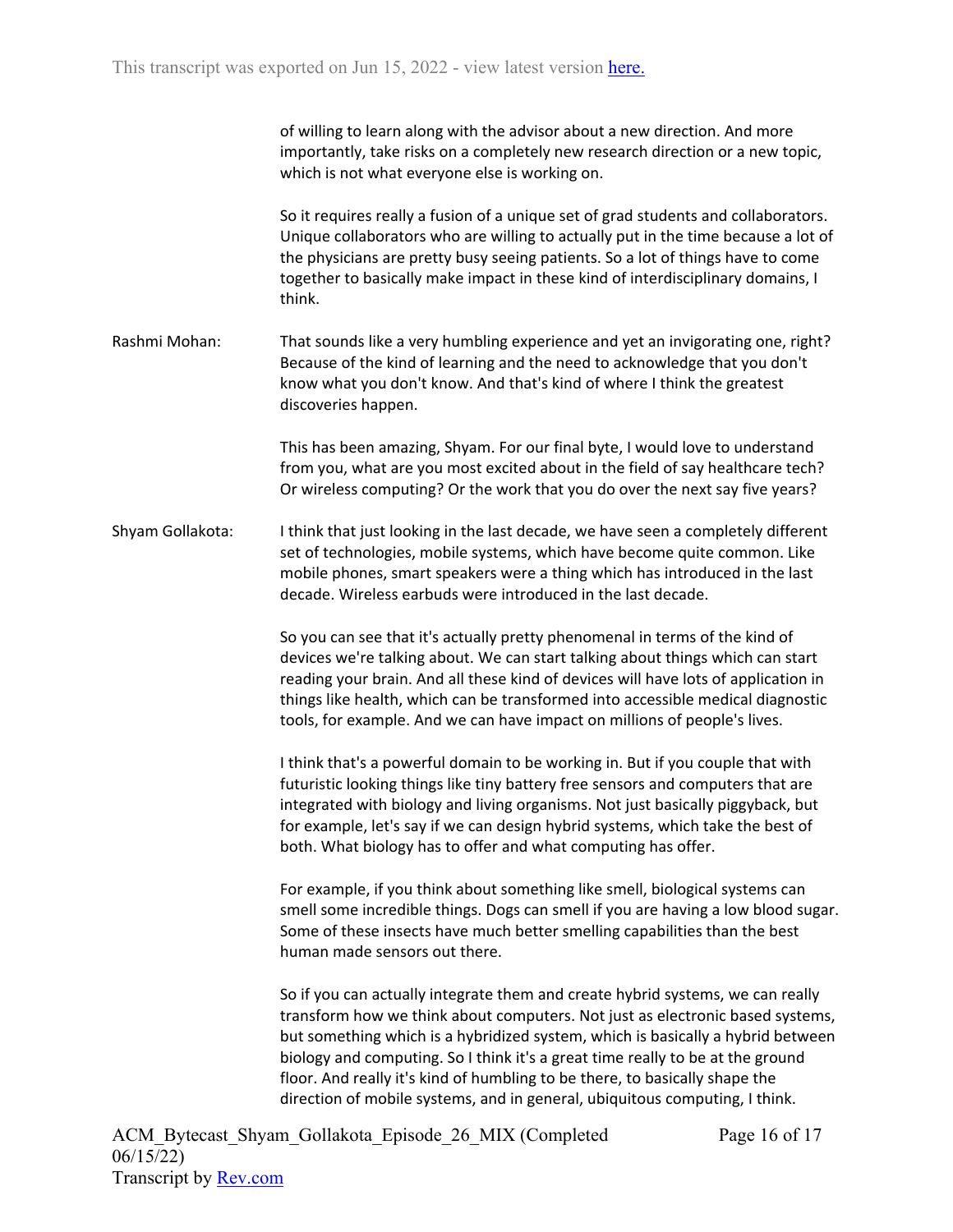| of willing to learn along with the advisor about a new direction. And more     |
|--------------------------------------------------------------------------------|
| importantly, take risks on a completely new research direction or a new topic, |
| which is not what everyone else is working on.                                 |

So it requires really a fusion of a unique set of grad students and collaborators. Unique collaborators who are willing to actually put in the time because a lot of the physicians are pretty busy seeing patients. So a lot of things have to come together to basically make impact in these kind of interdisciplinary domains, I think.

Rashmi Mohan: That sounds like a very humbling experience and yet an invigorating one, right? Because of the kind of learning and the need to acknowledge that you don't know what you don't know. And that's kind of where I think the greatest discoveries happen.

> This has been amazing, Shyam. For our final byte, I would love to understand from you, what are you most excited about in the field of say healthcare tech? Or wireless computing? Or the work that you do over the next say five years?

Shyam Gollakota: I think that just looking in the last decade, we have seen a completely different set of technologies, mobile systems, which have become quite common. Like mobile phones, smart speakers were a thing which has introduced in the last decade. Wireless earbuds were introduced in the last decade.

> So you can see that it's actually pretty phenomenal in terms of the kind of devices we're talking about. We can start talking about things which can start reading your brain. And all these kind of devices will have lots of application in things like health, which can be transformed into accessible medical diagnostic tools, for example. And we can have impact on millions of people's lives.

I think that's a powerful domain to be working in. But if you couple that with futuristic looking things like tiny battery free sensors and computers that are integrated with biology and living organisms. Not just basically piggyback, but for example, let's say if we can design hybrid systems, which take the best of both. What biology has to offer and what computing has offer.

For example, if you think about something like smell, biological systems can smell some incredible things. Dogs can smell if you are having a low blood sugar. Some of these insects have much better smelling capabilities than the best human made sensors out there.

So if you can actually integrate them and create hybrid systems, we can really transform how we think about computers. Not just as electronic based systems, but something which is a hybridized system, which is basically a hybrid between biology and computing. So I think it's a great time really to be at the ground floor. And really it's kind of humbling to be there, to basically shape the direction of mobile systems, and in general, ubiquitous computing, I think.